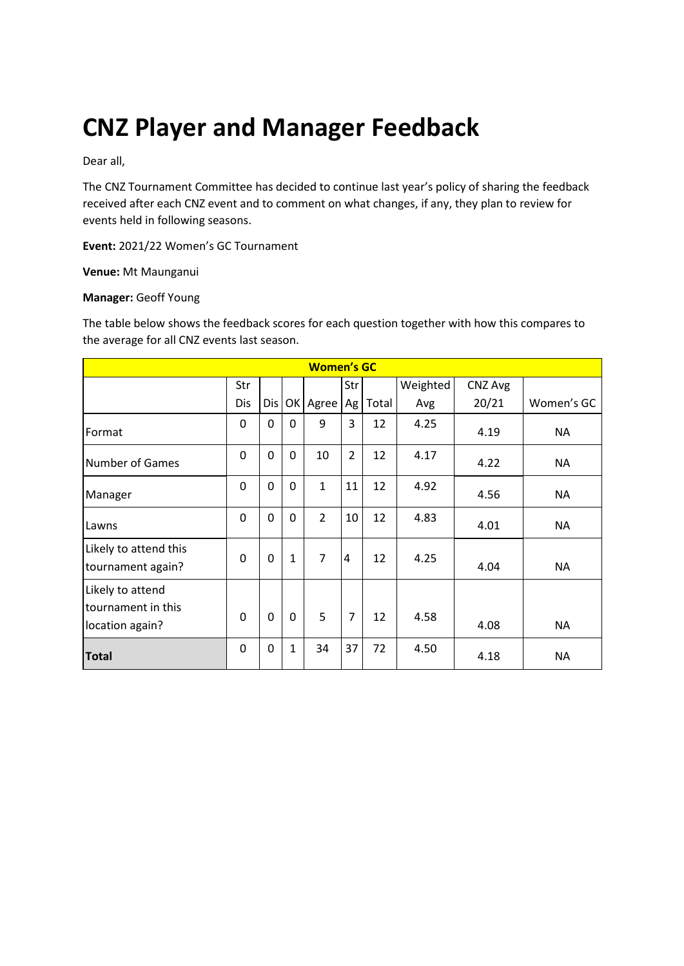# **CNZ Player and Manager Feedback**

Dear all,

The CNZ Tournament Committee has decided to continue last year's policy of sharing the feedback received after each CNZ event and to comment on what changes, if any, they plan to review for events held in following seasons.

**Event:** 2021/22 Women's GC Tournament

**Venue:** Mt Maunganui

#### **Manager:** Geoff Young

The table below shows the feedback scores for each question together with how this compares to the average for all CNZ events last season.

| <b>Women's GC</b>                                         |          |     |              |                |                |       |          |         |            |
|-----------------------------------------------------------|----------|-----|--------------|----------------|----------------|-------|----------|---------|------------|
|                                                           | Str      |     |              |                | Str            |       | Weighted | CNZ Avg |            |
|                                                           | Dis      | Dis | OK           | Agree          | Ag             | Total | Avg      | 20/21   | Women's GC |
| Format                                                    | 0        | 0   | $\Omega$     | 9              | 3              | 12    | 4.25     | 4.19    | <b>NA</b>  |
| <b>Number of Games</b>                                    | 0        | 0   | $\mathbf 0$  | 10             | $\overline{2}$ | 12    | 4.17     | 4.22    | <b>NA</b>  |
| Manager                                                   | 0        | 0   | $\mathbf 0$  | $\mathbf{1}$   | 11             | 12    | 4.92     | 4.56    | <b>NA</b>  |
| Lawns                                                     | $\Omega$ | 0   | $\mathbf 0$  | $\overline{2}$ | 10             | 12    | 4.83     | 4.01    | <b>NA</b>  |
| Likely to attend this<br>tournament again?                | 0        | 0   | $\mathbf{1}$ | $\overline{7}$ | 4              | 12    | 4.25     | 4.04    | <b>NA</b>  |
| Likely to attend<br>tournament in this<br>location again? | $\Omega$ | 0   | $\mathbf 0$  | 5              | $\overline{7}$ | 12    | 4.58     | 4.08    | <b>NA</b>  |
| <b>Total</b>                                              | 0        | 0   | $\mathbf 1$  | 34             | 37             | 72    | 4.50     | 4.18    | <b>NA</b>  |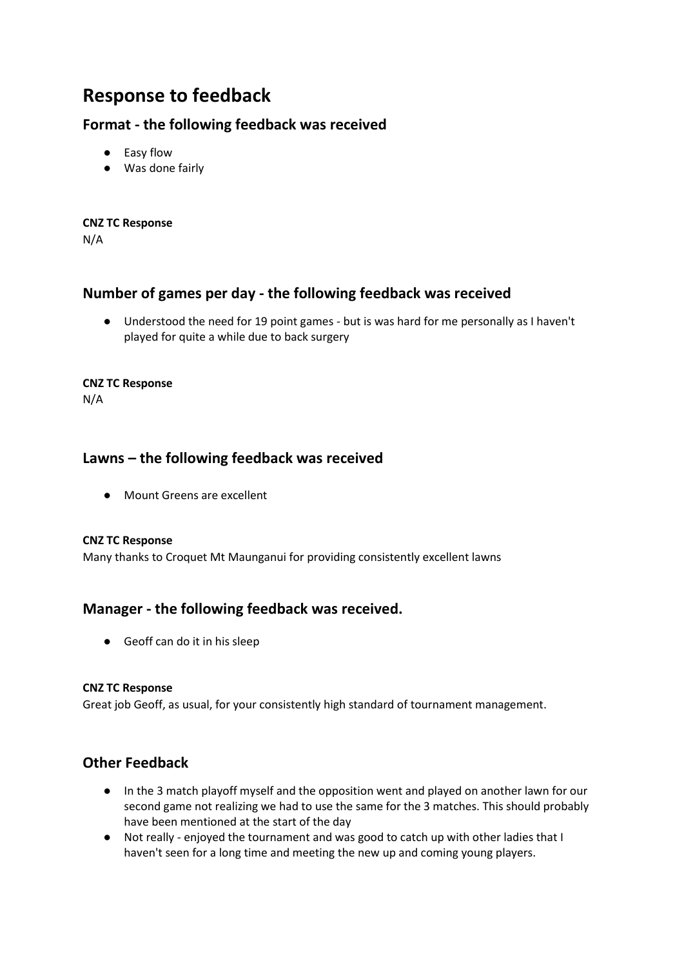# **Response to feedback**

# **Format - the following feedback was received**

- Easy flow
- Was done fairly

**CNZ TC Response** N/A

# **Number of games per day - the following feedback was received**

● Understood the need for 19 point games - but is was hard for me personally as I haven't played for quite a while due to back surgery

#### **CNZ TC Response**

N/A

## **Lawns – the following feedback was received**

● Mount Greens are excellent

#### **CNZ TC Response**

Many thanks to Croquet Mt Maunganui for providing consistently excellent lawns

## **Manager - the following feedback was received.**

● Geoff can do it in his sleep

#### **CNZ TC Response**

Great job Geoff, as usual, for your consistently high standard of tournament management.

# **Other Feedback**

- In the 3 match playoff myself and the opposition went and played on another lawn for our second game not realizing we had to use the same for the 3 matches. This should probably have been mentioned at the start of the day
- Not really enjoyed the tournament and was good to catch up with other ladies that I haven't seen for a long time and meeting the new up and coming young players.